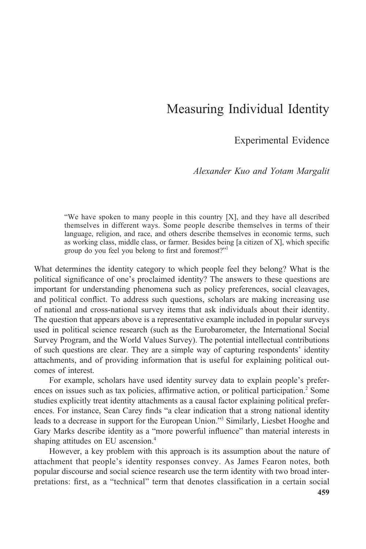# Measuring Individual Identity

Experimental Evidence

Alexander Kuo and Yotam Margalit

"We have spoken to many people in this country [X], and they have all described themselves in different ways. Some people describe themselves in terms of their language, religion, and race, and others describe themselves in economic terms, such as working class, middle class, or farmer. Besides being [a citizen of X], which specific group do you feel you belong to first and foremost?"<sup>1</sup>

What determines the identity category to which people feel they belong? What is the political significance of one's proclaimed identity? The answers to these questions are important for understanding phenomena such as policy preferences, social cleavages, and political conflict. To address such questions, scholars are making increasing use of national and cross-national survey items that ask individuals about their identity. The question that appears above is a representative example included in popular surveys used in political science research (such as the Eurobarometer, the International Social Survey Program, and the World Values Survey). The potential intellectual contributions of such questions are clear. They are a simple way of capturing respondents' identity attachments, and of providing information that is useful for explaining political outcomes of interest.

For example, scholars have used identity survey data to explain people's preferences on issues such as tax policies, affirmative action, or political participation.<sup>2</sup> Some studies explicitly treat identity attachments as a causal factor explaining political preferences. For instance, Sean Carey finds "a clear indication that a strong national identity leads to a decrease in support for the European Union."<sup>3</sup> Similarly, Liesbet Hooghe and Gary Marks describe identity as a "more powerful influence" than material interests in shaping attitudes on EU ascension.<sup>4</sup>

However, a key problem with this approach is its assumption about the nature of attachment that people's identity responses convey. As James Fearon notes, both popular discourse and social science research use the term identity with two broad interpretations: first, as a "technical" term that denotes classification in a certain social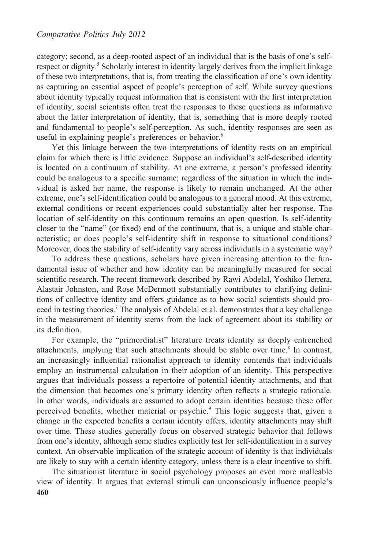category; second, as a deep-rooted aspect of an individual that is the basis of one's selfrespect or dignity.<sup>5</sup> Scholarly interest in identity largely derives from the implicit linkage of these two interpretations, that is, from treating the classification of one's own identity as capturing an essential aspect of people's perception of self. While survey questions about identity typically request information that is consistent with the first interpretation of identity, social scientists often treat the responses to these questions as informative about the latter interpretation of identity, that is, something that is more deeply rooted and fundamental to people's self-perception. As such, identity responses are seen as useful in explaining people's preferences or behavior.<sup>6</sup>

Yet this linkage between the two interpretations of identity rests on an empirical claim for which there is little evidence. Suppose an individual's self-described identity is located on a continuum of stability. At one extreme, a person's professed identity could be analogous to a specific surname; regardless of the situation in which the individual is asked her name, the response is likely to remain unchanged. At the other extreme, one's self-identification could be analogous to a general mood. At this extreme, external conditions or recent experiences could substantially alter her response. The location of self-identity on this continuum remains an open question. Is self-identity closer to the "name" (or fixed) end of the continuum, that is, a unique and stable characteristic; or does people's self-identity shift in response to situational conditions? Moreover, does the stability of self-identity vary across individuals in a systematic way?

To address these questions, scholars have given increasing attention to the fundamental issue of whether and how identity can be meaningfully measured for social scientific research. The recent framework described by Rawi Abdelal, Yoshiko Herrera, Alastair Johnston, and Rose McDermott substantially contributes to clarifying definitions of collective identity and offers guidance as to how social scientists should proceed in testing theories.<sup>7</sup> The analysis of Abdelal et al. demonstrates that a key challenge in the measurement of identity stems from the lack of agreement about its stability or its definition.

For example, the "primordialist" literature treats identity as deeply entrenched attachments, implying that such attachments should be stable over time.<sup>8</sup> In contrast, an increasingly influential rationalist approach to identity contends that individuals employ an instrumental calculation in their adoption of an identity. This perspective argues that individuals possess a repertoire of potential identity attachments, and that the dimension that becomes one's primary identity often reflects a strategic rationale. In other words, individuals are assumed to adopt certain identities because these offer perceived benefits, whether material or psychic. $\degree$  This logic suggests that, given a change in the expected benefits a certain identity offers, identity attachments may shift over time. These studies generally focus on observed strategic behavior that follows from one's identity, although some studies explicitly test for self-identification in a survey context. An observable implication of the strategic account of identity is that individuals are likely to stay with a certain identity category, unless there is a clear incentive to shift.

The situationist literature in social psychology proposes an even more malleable view of identity. It argues that external stimuli can unconsciously influence people's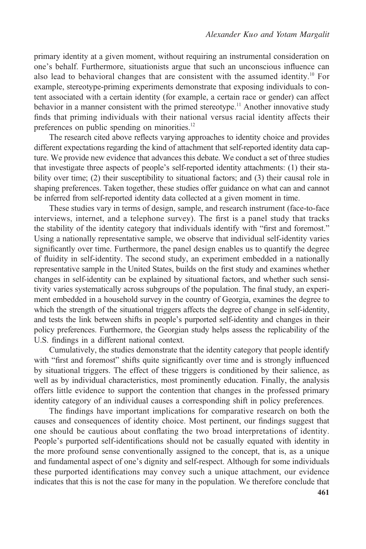primary identity at a given moment, without requiring an instrumental consideration on one's behalf. Furthermore, situationists argue that such an unconscious influence can also lead to behavioral changes that are consistent with the assumed identity.<sup>10</sup> For example, stereotype-priming experiments demonstrate that exposing individuals to content associated with a certain identity (for example, a certain race or gender) can affect behavior in a manner consistent with the primed stereotype.<sup>11</sup> Another innovative study finds that priming individuals with their national versus racial identity affects their preferences on public spending on minorities.<sup>12</sup>

The research cited above reflects varying approaches to identity choice and provides different expectations regarding the kind of attachment that self-reported identity data capture. We provide new evidence that advances this debate. We conduct a set of three studies that investigate three aspects of people's self-reported identity attachments: (1) their stability over time; (2) their susceptibility to situational factors; and (3) their causal role in shaping preferences. Taken together, these studies offer guidance on what can and cannot be inferred from self-reported identity data collected at a given moment in time.

These studies vary in terms of design, sample, and research instrument (face-to-face interviews, internet, and a telephone survey). The first is a panel study that tracks the stability of the identity category that individuals identify with "first and foremost." Using a nationally representative sample, we observe that individual self-identity varies significantly over time. Furthermore, the panel design enables us to quantify the degree of fluidity in self-identity. The second study, an experiment embedded in a nationally representative sample in the United States, builds on the first study and examines whether changes in self-identity can be explained by situational factors, and whether such sensitivity varies systematically across subgroups of the population. The final study, an experiment embedded in a household survey in the country of Georgia, examines the degree to which the strength of the situational triggers affects the degree of change in self-identity, and tests the link between shifts in people's purported self-identity and changes in their policy preferences. Furthermore, the Georgian study helps assess the replicability of the U.S. findings in a different national context.

Cumulatively, the studies demonstrate that the identity category that people identify with "first and foremost" shifts quite significantly over time and is strongly influenced by situational triggers. The effect of these triggers is conditioned by their salience, as well as by individual characteristics, most prominently education. Finally, the analysis offers little evidence to support the contention that changes in the professed primary identity category of an individual causes a corresponding shift in policy preferences.

The findings have important implications for comparative research on both the causes and consequences of identity choice. Most pertinent, our findings suggest that one should be cautious about conflating the two broad interpretations of identity. People's purported self-identifications should not be casually equated with identity in the more profound sense conventionally assigned to the concept, that is, as a unique and fundamental aspect of one's dignity and self-respect. Although for some individuals these purported identifications may convey such a unique attachment, our evidence indicates that this is not the case for many in the population. We therefore conclude that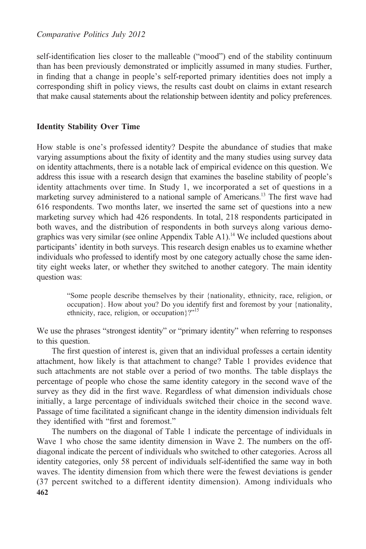Comparative Politics July 2012

self-identification lies closer to the malleable ("mood") end of the stability continuum than has been previously demonstrated or implicitly assumed in many studies. Further, in finding that a change in people's self-reported primary identities does not imply a corresponding shift in policy views, the results cast doubt on claims in extant research that make causal statements about the relationship between identity and policy preferences.

## Identity Stability Over Time

How stable is one's professed identity? Despite the abundance of studies that make varying assumptions about the fixity of identity and the many studies using survey data on identity attachments, there is a notable lack of empirical evidence on this question. We address this issue with a research design that examines the baseline stability of people's identity attachments over time. In Study 1, we incorporated a set of questions in a marketing survey administered to a national sample of Americans.<sup>13</sup> The first wave had 616 respondents. Two months later, we inserted the same set of questions into a new marketing survey which had 426 respondents. In total, 218 respondents participated in both waves, and the distribution of respondents in both surveys along various demographics was very similar (see online Appendix Table A1).<sup>14</sup> We included questions about participants' identity in both surveys. This research design enables us to examine whether individuals who professed to identify most by one category actually chose the same identity eight weeks later, or whether they switched to another category. The main identity question was:

> "Some people describe themselves by their {nationality, ethnicity, race, religion, or occupation}. How about you? Do you identify first and foremost by your {nationality, ethnicity, race, religion, or occupation}?"<sup>15</sup>

We use the phrases "strongest identity" or "primary identity" when referring to responses to this question.

The first question of interest is, given that an individual professes a certain identity attachment, how likely is that attachment to change? Table 1 provides evidence that such attachments are not stable over a period of two months. The table displays the percentage of people who chose the same identity category in the second wave of the survey as they did in the first wave. Regardless of what dimension individuals chose initially, a large percentage of individuals switched their choice in the second wave. Passage of time facilitated a significant change in the identity dimension individuals felt they identified with "first and foremost."

The numbers on the diagonal of Table 1 indicate the percentage of individuals in Wave 1 who chose the same identity dimension in Wave 2. The numbers on the offdiagonal indicate the percent of individuals who switched to other categories. Across all identity categories, only 58 percent of individuals self-identified the same way in both waves. The identity dimension from which there were the fewest deviations is gender (37 percent switched to a different identity dimension). Among individuals who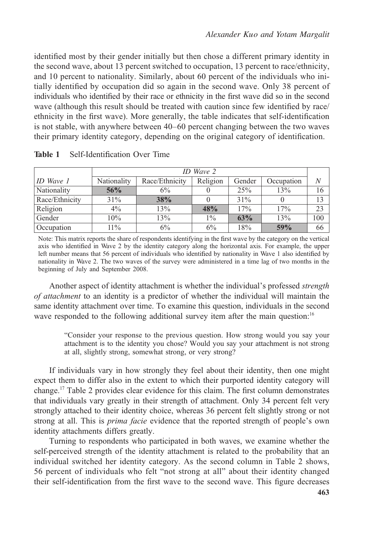identified most by their gender initially but then chose a different primary identity in the second wave, about 13 percent switched to occupation, 13 percent to race/ethnicity, and 10 percent to nationality. Similarly, about 60 percent of the individuals who initially identified by occupation did so again in the second wave. Only 38 percent of individuals who identified by their race or ethnicity in the first wave did so in the second wave (although this result should be treated with caution since few identified by race/ ethnicity in the first wave). More generally, the table indicates that self-identification is not stable, with anywhere between 40–60 percent changing between the two waves their primary identity category, depending on the original category of identification.

|                                                                                                                  | ID Wave 2   |                |          |        |            |     |
|------------------------------------------------------------------------------------------------------------------|-------------|----------------|----------|--------|------------|-----|
| $ID$ Wave $I$                                                                                                    | Nationality | Race/Ethnicity | Religion | Gender | Occupation | N   |
| Nationality                                                                                                      | 56%         | 6%             |          | 25%    | 13%        | 16  |
| Race/Ethnicity                                                                                                   | 31%         | 38%            | 0        | 31%    |            | 13  |
| Religion                                                                                                         | $4\%$       | 13%            | 48%      | 17%    | 17%        | 23  |
| Gender                                                                                                           | 10%         | 13%            | $1\%$    | 63%    | 13%        | 100 |
| Occupation                                                                                                       | $11\%$      | 6%             | $6\%$    | 18%    | 59%        | 66  |
| Note: This matrix reports the share of respondents identifying in the first wave by the category on the vertical |             |                |          |        |            |     |

| <b>Table 1</b> Self-Identification Over Time |  |
|----------------------------------------------|--|
|                                              |  |

axis who identified in Wave 2 by the identity category along the horizontal axis. For example, the upper left number means that 56 percent of individuals who identified by nationality in Wave 1 also identified by nationality in Wave 2. The two waves of the survey were administered in a time lag of two months in the beginning of July and September 2008.

Another aspect of identity attachment is whether the individual's professed strength of attachment to an identity is a predictor of whether the individual will maintain the same identity attachment over time. To examine this question, individuals in the second wave responded to the following additional survey item after the main question:<sup>16</sup>

"Consider your response to the previous question. How strong would you say your attachment is to the identity you chose? Would you say your attachment is not strong at all, slightly strong, somewhat strong, or very strong?

If individuals vary in how strongly they feel about their identity, then one might expect them to differ also in the extent to which their purported identity category will change.<sup>17</sup> Table 2 provides clear evidence for this claim. The first column demonstrates that individuals vary greatly in their strength of attachment. Only 34 percent felt very strongly attached to their identity choice, whereas 36 percent felt slightly strong or not strong at all. This is *prima facie* evidence that the reported strength of people's own identity attachments differs greatly.

Turning to respondents who participated in both waves, we examine whether the self-perceived strength of the identity attachment is related to the probability that an individual switched her identity category. As the second column in Table 2 shows, 56 percent of individuals who felt "not strong at all" about their identity changed their self-identification from the first wave to the second wave. This figure decreases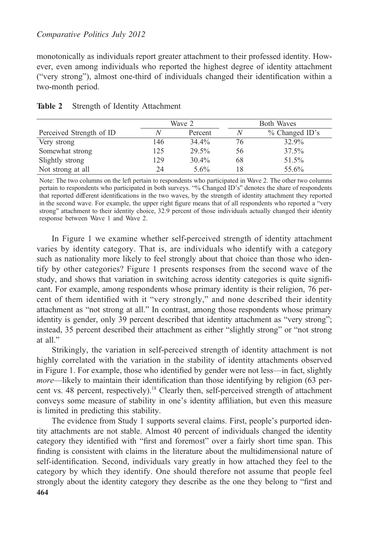### Comparative Politics July 2012

monotonically as individuals report greater attachment to their professed identity. However, even among individuals who reported the highest degree of identity attachment ("very strong"), almost one-third of individuals changed their identification within a two-month period.

|                          |     | Wave 2   | <b>Both Waves</b> |                   |  |
|--------------------------|-----|----------|-------------------|-------------------|--|
| Perceived Strength of ID | N   | Percent  | N                 | $\%$ Changed ID's |  |
| Very strong              | 146 | 34.4%    | 76                | 32.9%             |  |
| Somewhat strong          | 125 | 29.5%    | 56                | 37.5%             |  |
| Slightly strong          | 129 | $30.4\%$ | 68                | 51.5%             |  |
| Not strong at all        | 24  | $5.6\%$  |                   | 55.6%             |  |

|  | Table 2 Strength of Identity Attachment |
|--|-----------------------------------------|
|  |                                         |

Note: The two columns on the left pertain to respondents who participated in Wave 2. The other two columns pertain to respondents who participated in both surveys. "% Changed ID's" denotes the share of respondents that reported different identifications in the two waves, by the strength of identity attachment they reported in the second wave. For example, the upper right figure means that of all respondents who reported a "very strong" attachment to their identity choice, 32.9 percent of those individuals actually changed their identity response between Wave 1 and Wave 2.

In Figure 1 we examine whether self-perceived strength of identity attachment varies by identity category. That is, are individuals who identify with a category such as nationality more likely to feel strongly about that choice than those who identify by other categories? Figure 1 presents responses from the second wave of the study, and shows that variation in switching across identity categories is quite significant. For example, among respondents whose primary identity is their religion, 76 percent of them identified with it "very strongly," and none described their identity attachment as "not strong at all." In contrast, among those respondents whose primary identity is gender, only 39 percent described that identity attachment as "very strong"; instead, 35 percent described their attachment as either "slightly strong" or "not strong at all."

Strikingly, the variation in self-perceived strength of identity attachment is not highly correlated with the variation in the stability of identity attachments observed in Figure 1. For example, those who identified by gender were not less—in fact, slightly more—likely to maintain their identification than those identifying by religion (63 percent vs. 48 percent, respectively).<sup>18</sup> Clearly then, self-perceived strength of attachment conveys some measure of stability in one's identity affiliation, but even this measure is limited in predicting this stability.

The evidence from Study 1 supports several claims. First, people's purported identity attachments are not stable. Almost 40 percent of individuals changed the identity category they identified with "first and foremost" over a fairly short time span. This finding is consistent with claims in the literature about the multidimensional nature of self-identification. Second, individuals vary greatly in how attached they feel to the category by which they identify. One should therefore not assume that people feel strongly about the identity category they describe as the one they belong to "first and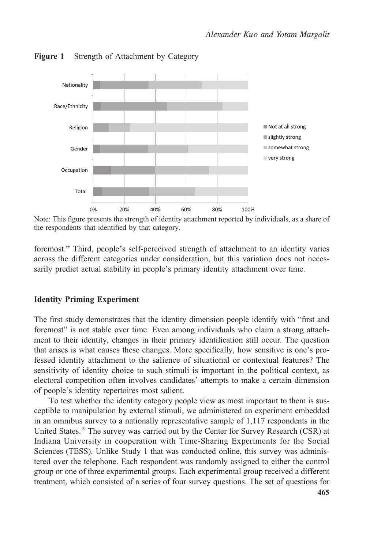

Figure 1 Strength of Attachment by Category

Note: This figure presents the strength of identity attachment reported by individuals, as a share of the respondents that identified by that category.

foremost." Third, people's self-perceived strength of attachment to an identity varies across the different categories under consideration, but this variation does not necessarily predict actual stability in people's primary identity attachment over time.

## Identity Priming Experiment

The first study demonstrates that the identity dimension people identify with "first and foremost" is not stable over time. Even among individuals who claim a strong attachment to their identity, changes in their primary identification still occur. The question that arises is what causes these changes. More specifically, how sensitive is one's professed identity attachment to the salience of situational or contextual features? The sensitivity of identity choice to such stimuli is important in the political context, as electoral competition often involves candidates' attempts to make a certain dimension of people's identity repertoires most salient.

To test whether the identity category people view as most important to them is susceptible to manipulation by external stimuli, we administered an experiment embedded in an omnibus survey to a nationally representative sample of 1,117 respondents in the United States.19 The survey was carried out by the Center for Survey Research (CSR) at Indiana University in cooperation with Time-Sharing Experiments for the Social Sciences (TESS). Unlike Study 1 that was conducted online, this survey was administered over the telephone. Each respondent was randomly assigned to either the control group or one of three experimental groups. Each experimental group received a different treatment, which consisted of a series of four survey questions. The set of questions for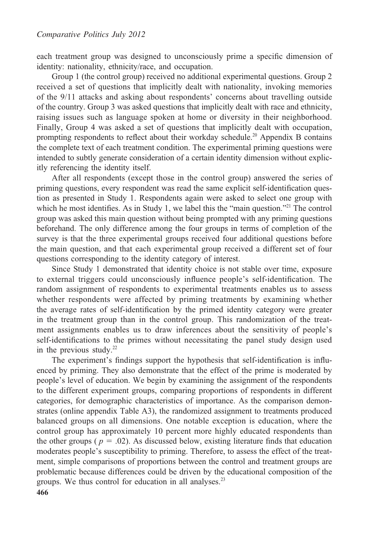each treatment group was designed to unconsciously prime a specific dimension of identity: nationality, ethnicity/race, and occupation.

Group 1 (the control group) received no additional experimental questions. Group 2 received a set of questions that implicitly dealt with nationality, invoking memories of the 9/11 attacks and asking about respondents' concerns about travelling outside of the country. Group 3 was asked questions that implicitly dealt with race and ethnicity, raising issues such as language spoken at home or diversity in their neighborhood. Finally, Group 4 was asked a set of questions that implicitly dealt with occupation, prompting respondents to reflect about their workday schedule.<sup>20</sup> Appendix B contains the complete text of each treatment condition. The experimental priming questions were intended to subtly generate consideration of a certain identity dimension without explicitly referencing the identity itself.

After all respondents (except those in the control group) answered the series of priming questions, every respondent was read the same explicit self-identification question as presented in Study 1. Respondents again were asked to select one group with which he most identifies. As in Study 1, we label this the "main question."<sup>21</sup> The control group was asked this main question without being prompted with any priming questions beforehand. The only difference among the four groups in terms of completion of the survey is that the three experimental groups received four additional questions before the main question, and that each experimental group received a different set of four questions corresponding to the identity category of interest.

Since Study 1 demonstrated that identity choice is not stable over time, exposure to external triggers could unconsciously influence people's self-identification. The random assignment of respondents to experimental treatments enables us to assess whether respondents were affected by priming treatments by examining whether the average rates of self-identification by the primed identity category were greater in the treatment group than in the control group. This randomization of the treatment assignments enables us to draw inferences about the sensitivity of people's self-identifications to the primes without necessitating the panel study design used in the previous study. $22$ 

The experiment's findings support the hypothesis that self-identification is influenced by priming. They also demonstrate that the effect of the prime is moderated by people's level of education. We begin by examining the assignment of the respondents to the different experiment groups, comparing proportions of respondents in different categories, for demographic characteristics of importance. As the comparison demonstrates (online appendix Table A3), the randomized assignment to treatments produced balanced groups on all dimensions. One notable exception is education, where the control group has approximately 10 percent more highly educated respondents than the other groups ( $p = .02$ ). As discussed below, existing literature finds that education moderates people's susceptibility to priming. Therefore, to assess the effect of the treatment, simple comparisons of proportions between the control and treatment groups are problematic because differences could be driven by the educational composition of the groups. We thus control for education in all analyses. $^{23}$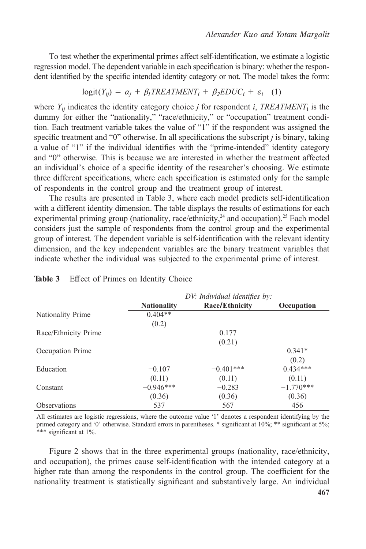To test whether the experimental primes affect self-identification, we estimate a logistic regression model. The dependent variable in each specification is binary: whether the respondent identified by the specific intended identity category or not. The model takes the form:

$$
logit(Y_{ij}) = \alpha_j + \beta_l T REALIMENT_i + \beta_2 E DUC_i + \varepsilon_i \quad (1)
$$

where  $Y_{ij}$  indicates the identity category choice j for respondent i, TREATMENT<sub>i</sub> is the dummy for either the "nationality," "race/ethnicity," or "occupation" treatment condition. Each treatment variable takes the value of "1" if the respondent was assigned the specific treatment and "0" otherwise. In all specifications the subscript  $i$  is binary, taking a value of "1" if the individual identifies with the "prime-intended" identity category and "0" otherwise. This is because we are interested in whether the treatment affected an individual's choice of a specific identity of the researcher's choosing. We estimate three different specifications, where each specification is estimated only for the sample of respondents in the control group and the treatment group of interest.

The results are presented in Table 3, where each model predicts self-identification with a different identity dimension. The table displays the results of estimations for each experimental priming group (nationality, race/ethnicity,  $^{24}$  and occupation).<sup>25</sup> Each model considers just the sample of respondents from the control group and the experimental group of interest. The dependent variable is self-identification with the relevant identity dimension, and the key independent variables are the binary treatment variables that indicate whether the individual was subjected to the experimental prime of interest.

|                      | DV: Individual identifies by: |                |             |  |  |
|----------------------|-------------------------------|----------------|-------------|--|--|
|                      | <b>Nationality</b>            | Race/Ethnicity | Occupation  |  |  |
| Nationality Prime    | $0.404**$                     |                |             |  |  |
|                      | (0.2)                         |                |             |  |  |
| Race/Ethnicity Prime |                               | 0.177          |             |  |  |
|                      |                               | (0.21)         |             |  |  |
| Occupation Prime     |                               |                | $0.341*$    |  |  |
|                      |                               |                | (0.2)       |  |  |
| Education            | $-0.107$                      | $-0.401***$    | $0.434***$  |  |  |
|                      | (0.11)                        | (0.11)         | (0.11)      |  |  |
| Constant             | $-0.946***$                   | $-0.283$       | $-1.770***$ |  |  |
|                      | (0.36)                        | (0.36)         | (0.36)      |  |  |
| <b>Observations</b>  | 537                           | 567            | 456         |  |  |

#### Table 3 Effect of Primes on Identity Choice

All estimates are logistic regressions, where the outcome value '1' denotes a respondent identifying by the primed category and '0' otherwise. Standard errors in parentheses. \* significant at 10%; \*\* significant at 5%; \*\*\* significant at 1%.

Figure 2 shows that in the three experimental groups (nationality, race/ethnicity, and occupation), the primes cause self-identification with the intended category at a higher rate than among the respondents in the control group. The coefficient for the nationality treatment is statistically significant and substantively large. An individual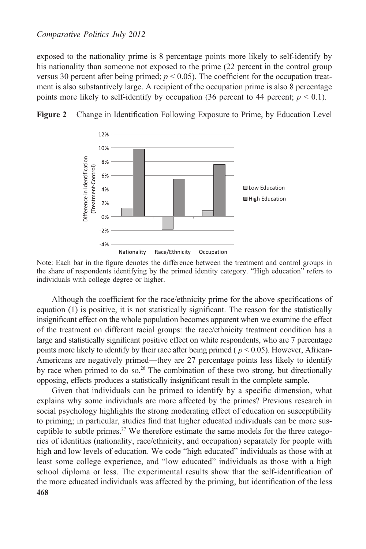exposed to the nationality prime is 8 percentage points more likely to self-identify by his nationality than someone not exposed to the prime (22 percent in the control group versus 30 percent after being primed;  $p < 0.05$ ). The coefficient for the occupation treatment is also substantively large. A recipient of the occupation prime is also 8 percentage points more likely to self-identify by occupation (36 percent to 44 percent;  $p < 0.1$ ).





Note: Each bar in the figure denotes the difference between the treatment and control groups in the share of respondents identifying by the primed identity category. "High education" refers to individuals with college degree or higher.

Although the coefficient for the race/ethnicity prime for the above specifications of equation (1) is positive, it is not statistically significant. The reason for the statistically insignificant effect on the whole population becomes apparent when we examine the effect of the treatment on different racial groups: the race/ethnicity treatment condition has a large and statistically significant positive effect on white respondents, who are 7 percentage points more likely to identify by their race after being primed ( $p < 0.05$ ). However, African-Americans are negatively primed—they are 27 percentage points less likely to identify by race when primed to do so.<sup>26</sup> The combination of these two strong, but directionally opposing, effects produces a statistically insignificant result in the complete sample.

Given that individuals can be primed to identify by a specific dimension, what explains why some individuals are more affected by the primes? Previous research in social psychology highlights the strong moderating effect of education on susceptibility to priming; in particular, studies find that higher educated individuals can be more susceptible to subtle primes.<sup>27</sup> We therefore estimate the same models for the three categories of identities (nationality, race/ethnicity, and occupation) separately for people with high and low levels of education. We code "high educated" individuals as those with at least some college experience, and "low educated" individuals as those with a high school diploma or less. The experimental results show that the self-identification of the more educated individuals was affected by the priming, but identification of the less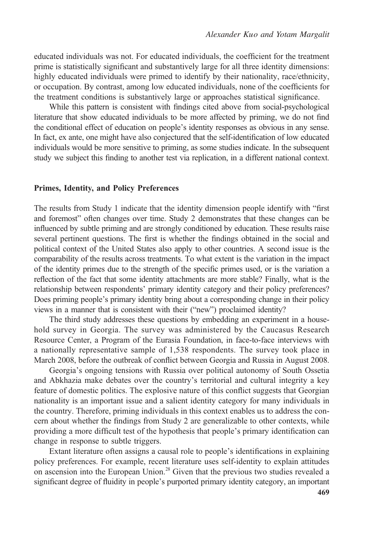educated individuals was not. For educated individuals, the coefficient for the treatment prime is statistically significant and substantively large for all three identity dimensions: highly educated individuals were primed to identify by their nationality, race/ethnicity, or occupation. By contrast, among low educated individuals, none of the coefficients for the treatment conditions is substantively large or approaches statistical significance.

While this pattern is consistent with findings cited above from social-psychological literature that show educated individuals to be more affected by priming, we do not find the conditional effect of education on people's identity responses as obvious in any sense. In fact, ex ante, one might have also conjectured that the self-identification of low educated individuals would be more sensitive to priming, as some studies indicate. In the subsequent study we subject this finding to another test via replication, in a different national context.

#### Primes, Identity, and Policy Preferences

The results from Study 1 indicate that the identity dimension people identify with "first and foremost" often changes over time. Study 2 demonstrates that these changes can be influenced by subtle priming and are strongly conditioned by education. These results raise several pertinent questions. The first is whether the findings obtained in the social and political context of the United States also apply to other countries. A second issue is the comparability of the results across treatments. To what extent is the variation in the impact of the identity primes due to the strength of the specific primes used, or is the variation a reflection of the fact that some identity attachments are more stable? Finally, what is the relationship between respondents' primary identity category and their policy preferences? Does priming people's primary identity bring about a corresponding change in their policy views in a manner that is consistent with their ("new") proclaimed identity?

The third study addresses these questions by embedding an experiment in a household survey in Georgia. The survey was administered by the Caucasus Research Resource Center, a Program of the Eurasia Foundation, in face-to-face interviews with a nationally representative sample of 1,538 respondents. The survey took place in March 2008, before the outbreak of conflict between Georgia and Russia in August 2008.

Georgia's ongoing tensions with Russia over political autonomy of South Ossetia and Abkhazia make debates over the country's territorial and cultural integrity a key feature of domestic politics. The explosive nature of this conflict suggests that Georgian nationality is an important issue and a salient identity category for many individuals in the country. Therefore, priming individuals in this context enables us to address the concern about whether the findings from Study 2 are generalizable to other contexts, while providing a more difficult test of the hypothesis that people's primary identification can change in response to subtle triggers.

Extant literature often assigns a causal role to people's identifications in explaining policy preferences. For example, recent literature uses self-identity to explain attitudes on ascension into the European Union.<sup>28</sup> Given that the previous two studies revealed a significant degree of fluidity in people's purported primary identity category, an important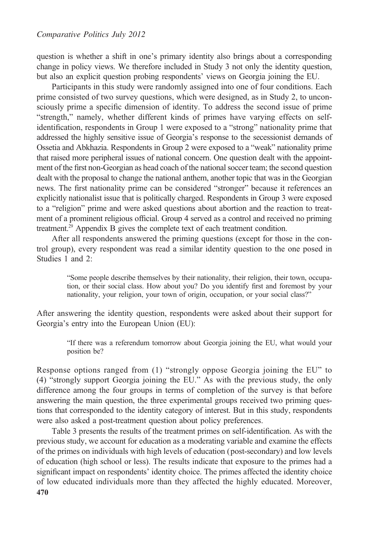question is whether a shift in one's primary identity also brings about a corresponding change in policy views. We therefore included in Study 3 not only the identity question, but also an explicit question probing respondents' views on Georgia joining the EU.

Participants in this study were randomly assigned into one of four conditions. Each prime consisted of two survey questions, which were designed, as in Study 2, to unconsciously prime a specific dimension of identity. To address the second issue of prime "strength," namely, whether different kinds of primes have varying effects on selfidentification, respondents in Group 1 were exposed to a "strong" nationality prime that addressed the highly sensitive issue of Georgia's response to the secessionist demands of Ossetia and Abkhazia. Respondents in Group 2 were exposed to a "weak" nationality prime that raised more peripheral issues of national concern. One question dealt with the appointment of the first non-Georgian as head coach of the national soccer team; the second question dealt with the proposal to change the national anthem, another topic that was in the Georgian news. The first nationality prime can be considered "stronger" because it references an explicitly nationalist issue that is politically charged. Respondents in Group 3 were exposed to a "religion" prime and were asked questions about abortion and the reaction to treatment of a prominent religious official. Group 4 served as a control and received no priming treatment.<sup>29</sup> Appendix B gives the complete text of each treatment condition.

After all respondents answered the priming questions (except for those in the control group), every respondent was read a similar identity question to the one posed in Studies 1 and 2:

"Some people describe themselves by their nationality, their religion, their town, occupation, or their social class. How about you? Do you identify first and foremost by your nationality, your religion, your town of origin, occupation, or your social class?"

After answering the identity question, respondents were asked about their support for Georgia's entry into the European Union (EU):

"If there was a referendum tomorrow about Georgia joining the EU, what would your position be?

Response options ranged from (1) "strongly oppose Georgia joining the EU" to (4) "strongly support Georgia joining the EU." As with the previous study, the only difference among the four groups in terms of completion of the survey is that before answering the main question, the three experimental groups received two priming questions that corresponded to the identity category of interest. But in this study, respondents were also asked a post-treatment question about policy preferences.

Table 3 presents the results of the treatment primes on self-identification. As with the previous study, we account for education as a moderating variable and examine the effects of the primes on individuals with high levels of education (post-secondary) and low levels of education (high school or less). The results indicate that exposure to the primes had a significant impact on respondents' identity choice. The primes affected the identity choice of low educated individuals more than they affected the highly educated. Moreover,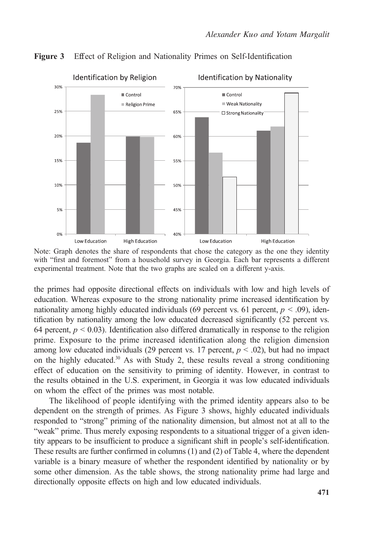

Figure 3 Effect of Religion and Nationality Primes on Self-Identification

Note: Graph denotes the share of respondents that chose the category as the one they identity with "first and foremost" from a household survey in Georgia. Each bar represents a different experimental treatment. Note that the two graphs are scaled on a different y-axis.

the primes had opposite directional effects on individuals with low and high levels of education. Whereas exposure to the strong nationality prime increased identification by nationality among highly educated individuals (69 percent vs. 61 percent,  $p < .09$ ), identification by nationality among the low educated decreased significantly (52 percent vs. 64 percent,  $p \le 0.03$ ). Identification also differed dramatically in response to the religion prime. Exposure to the prime increased identification along the religion dimension among low educated individuals (29 percent vs. 17 percent,  $p < .02$ ), but had no impact on the highly educated. $30$  As with Study 2, these results reveal a strong conditioning effect of education on the sensitivity to priming of identity. However, in contrast to the results obtained in the U.S. experiment, in Georgia it was low educated individuals on whom the effect of the primes was most notable.

The likelihood of people identifying with the primed identity appears also to be dependent on the strength of primes. As Figure 3 shows, highly educated individuals responded to "strong" priming of the nationality dimension, but almost not at all to the "weak" prime. Thus merely exposing respondents to a situational trigger of a given identity appears to be insufficient to produce a significant shift in people's self-identification. These results are further confirmed in columns (1) and (2) of Table 4, where the dependent variable is a binary measure of whether the respondent identified by nationality or by some other dimension. As the table shows, the strong nationality prime had large and directionally opposite effects on high and low educated individuals.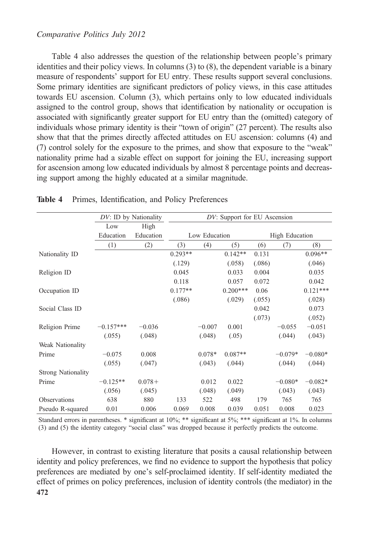## Comparative Politics July 2012

Table 4 also addresses the question of the relationship between people's primary identities and their policy views. In columns (3) to (8), the dependent variable is a binary measure of respondents' support for EU entry. These results support several conclusions. Some primary identities are significant predictors of policy views, in this case attitudes towards EU ascension. Column (3), which pertains only to low educated individuals assigned to the control group, shows that identification by nationality or occupation is associated with significantly greater support for EU entry than the (omitted) category of individuals whose primary identity is their "town of origin" (27 percent). The results also show that that the primes directly affected attitudes on EU ascension: columns (4) and (7) control solely for the exposure to the primes, and show that exposure to the "weak" nationality prime had a sizable effect on support for joining the EU, increasing support for ascension among low educated individuals by almost 8 percentage points and decreasing support among the highly educated at a similar magnitude.

|                           | DV: ID by Nationality |           | DV: Support for EU Ascension |          |            |                       |           |            |
|---------------------------|-----------------------|-----------|------------------------------|----------|------------|-----------------------|-----------|------------|
|                           | Low                   | High      |                              |          |            |                       |           |            |
|                           | Education             | Education | Low Education                |          |            | <b>High Education</b> |           |            |
|                           | (1)                   | (2)       | (3)                          | (4)      | (5)        | (6)                   | (7)       | (8)        |
| Nationality ID            |                       |           | $0.293**$                    |          | $0.142**$  | 0.131                 |           | $0.096**$  |
|                           |                       |           | (.129)                       |          | (.058)     | (.086)                |           | (.046)     |
| Religion ID               |                       |           | 0.045                        |          | 0.033      | 0.004                 |           | 0.035      |
|                           |                       |           | 0.118                        |          | 0.057      | 0.072                 |           | 0.042      |
| Occupation ID             |                       |           | $0.177**$                    |          | $0.200***$ | 0.06                  |           | $0.121***$ |
|                           |                       |           | (.086)                       |          | (.029)     | (.055)                |           | (.028)     |
| Social Class ID           |                       |           |                              |          |            | 0.042                 |           | 0.073      |
|                           |                       |           |                              |          |            | (.073)                |           | (.052)     |
| Religion Prime            | $-0.157***$           | $-0.036$  |                              | $-0.007$ | 0.001      |                       | $-0.055$  | $-0.051$   |
|                           | (.055)                | (.048)    |                              | (.048)   | (.05)      |                       | (.044)    | (.043)     |
| Weak Nationality          |                       |           |                              |          |            |                       |           |            |
| Prime                     | $-0.075$              | 0.008     |                              | $0.078*$ | $0.087**$  |                       | $-0.079*$ | $-0.080*$  |
|                           | (.055)                | (.047)    |                              | (.043)   | (.044)     |                       | (.044)    | (.044)     |
| <b>Strong Nationality</b> |                       |           |                              |          |            |                       |           |            |
| Prime                     | $-0.125**$            | $0.078+$  |                              | 0.012    | 0.022      |                       | $-0.080*$ | $-0.082*$  |
|                           | (.056)                | (.045)    |                              | (.048)   | (.049)     |                       | (.043)    | (.043)     |
| Observations              | 638                   | 880       | 133                          | 522      | 498        | 179                   | 765       | 765        |
| Pseudo R-squared          | 0.01                  | 0.006     | 0.069                        | 0.008    | 0.039      | 0.051                 | 0.008     | 0.023      |

#### Table 4 Primes, Identification, and Policy Preferences

Standard errors in parentheses. \* significant at 10%; \*\* significant at 5%; \*\*\* significant at 1%. In columns (3) and (5) the identity category "social class" was dropped because it perfectly predicts the outcome.

However, in contrast to existing literature that posits a causal relationship between identity and policy preferences, we find no evidence to support the hypothesis that policy preferences are mediated by one's self-proclaimed identity. If self-identity mediated the effect of primes on policy preferences, inclusion of identity controls (the mediator) in the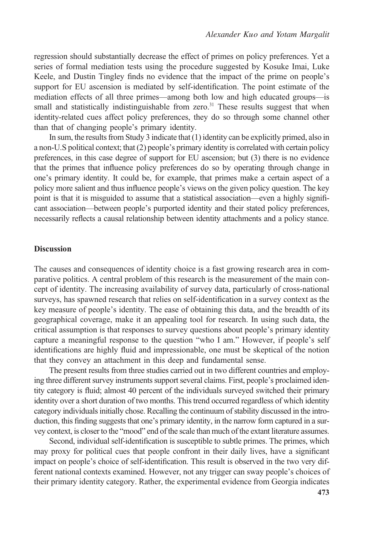regression should substantially decrease the effect of primes on policy preferences. Yet a series of formal mediation tests using the procedure suggested by Kosuke Imai, Luke Keele, and Dustin Tingley finds no evidence that the impact of the prime on people's support for EU ascension is mediated by self-identification. The point estimate of the mediation effects of all three primes—among both low and high educated groups—is small and statistically indistinguishable from zero.<sup>31</sup> These results suggest that when identity-related cues affect policy preferences, they do so through some channel other than that of changing people's primary identity.

In sum, the results from Study 3 indicate that (1) identity can be explicitly primed, also in a non-U.S political context; that (2) people's primary identity is correlated with certain policy preferences, in this case degree of support for EU ascension; but (3) there is no evidence that the primes that influence policy preferences do so by operating through change in one's primary identity. It could be, for example, that primes make a certain aspect of a policy more salient and thus influence people's views on the given policy question. The key point is that it is misguided to assume that a statistical association—even a highly significant association—between people's purported identity and their stated policy preferences, necessarily reflects a causal relationship between identity attachments and a policy stance.

#### **Discussion**

The causes and consequences of identity choice is a fast growing research area in comparative politics. A central problem of this research is the measurement of the main concept of identity. The increasing availability of survey data, particularly of cross-national surveys, has spawned research that relies on self-identification in a survey context as the key measure of people's identity. The ease of obtaining this data, and the breadth of its geographical coverage, make it an appealing tool for research. In using such data, the critical assumption is that responses to survey questions about people's primary identity capture a meaningful response to the question "who I am." However, if people's self identifications are highly fluid and impressionable, one must be skeptical of the notion that they convey an attachment in this deep and fundamental sense.

The present results from three studies carried out in two different countries and employing three different survey instruments support several claims. First, people's proclaimed identity category is fluid; almost 40 percent of the individuals surveyed switched their primary identity over a short duration of two months. This trend occurred regardless of which identity category individuals initially chose. Recalling the continuum of stability discussed in the introduction, this finding suggests that one's primary identity, in the narrow form captured in a survey context, is closer to the "mood" end of the scale than much of the extant literature assumes.

Second, individual self-identification is susceptible to subtle primes. The primes, which may proxy for political cues that people confront in their daily lives, have a significant impact on people's choice of self-identification. This result is observed in the two very different national contexts examined. However, not any trigger can sway people's choices of their primary identity category. Rather, the experimental evidence from Georgia indicates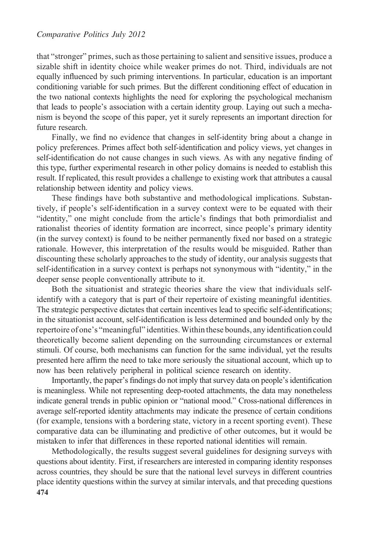that "stronger" primes, such as those pertaining to salient and sensitive issues, produce a sizable shift in identity choice while weaker primes do not. Third, individuals are not equally influenced by such priming interventions. In particular, education is an important conditioning variable for such primes. But the different conditioning effect of education in the two national contexts highlights the need for exploring the psychological mechanism that leads to people's association with a certain identity group. Laying out such a mechanism is beyond the scope of this paper, yet it surely represents an important direction for future research.

Finally, we find no evidence that changes in self-identity bring about a change in policy preferences. Primes affect both self-identification and policy views, yet changes in self-identification do not cause changes in such views. As with any negative finding of this type, further experimental research in other policy domains is needed to establish this result. If replicated, this result provides a challenge to existing work that attributes a causal relationship between identity and policy views.

These findings have both substantive and methodological implications. Substantively, if people's self-identification in a survey context were to be equated with their "identity," one might conclude from the article's findings that both primordialist and rationalist theories of identity formation are incorrect, since people's primary identity (in the survey context) is found to be neither permanently fixed nor based on a strategic rationale. However, this interpretation of the results would be misguided. Rather than discounting these scholarly approaches to the study of identity, our analysis suggests that self-identification in a survey context is perhaps not synonymous with "identity," in the deeper sense people conventionally attribute to it.

Both the situationist and strategic theories share the view that individuals selfidentify with a category that is part of their repertoire of existing meaningful identities. The strategic perspective dictates that certain incentives lead to specific self-identifications; in the situationist account, self-identification is less determined and bounded only by the repertoire of one's "meaningful" identities.Within these bounds, any identification could theoretically become salient depending on the surrounding circumstances or external stimuli. Of course, both mechanisms can function for the same individual, yet the results presented here affirm the need to take more seriously the situational account, which up to now has been relatively peripheral in political science research on identity.

Importantly, the paper's findings do not imply that survey data on people's identification is meaningless. While not representing deep-rooted attachments, the data may nonetheless indicate general trends in public opinion or "national mood." Cross-national differences in average self-reported identity attachments may indicate the presence of certain conditions (for example, tensions with a bordering state, victory in a recent sporting event). These comparative data can be illuminating and predictive of other outcomes, but it would be mistaken to infer that differences in these reported national identities will remain.

Methodologically, the results suggest several guidelines for designing surveys with questions about identity. First, if researchers are interested in comparing identity responses across countries, they should be sure that the national level surveys in different countries place identity questions within the survey at similar intervals, and that preceding questions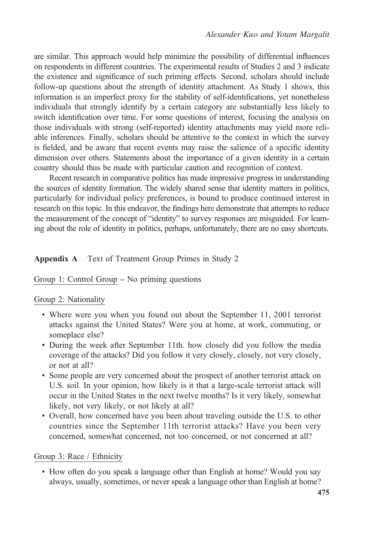are similar. This approach would help minimize the possibility of differential influences on respondents in different countries. The experimental results of Studies 2 and 3 indicate the existence and significance of such priming effects. Second, scholars should include follow-up questions about the strength of identity attachment. As Study 1 shows, this information is an imperfect proxy for the stability of self-identifications, yet nonetheless individuals that strongly identify by a certain category are substantially less likely to switch identification over time. For some questions of interest, focusing the analysis on those individuals with strong (self-reported) identity attachments may yield more reliable inferences. Finally, scholars should be attentive to the context in which the survey is fielded, and be aware that recent events may raise the salience of a specific identity dimension over others. Statements about the importance of a given identity in a certain country should thus be made with particular caution and recognition of context.

Recent research in comparative politics has made impressive progress in understanding the sources of identity formation. The widely shared sense that identity matters in politics, particularly for individual policy preferences, is bound to produce continued interest in research on this topic. In this endeavor, the findings here demonstrate that attempts to reduce the measurement of the concept of "identity" to survey responses are misguided. For learning about the role of identity in politics, perhaps, unfortunately, there are no easy shortcuts.

## Appendix A Text of Treatment Group Primes in Study 2

## Group 1: Control Group – No priming questions

#### Group 2: Nationality

- Where were you when you found out about the September 11, 2001 terrorist attacks against the United States? Were you at home, at work, commuting, or someplace else?
- During the week after September 11th. how closely did you follow the media coverage of the attacks? Did you follow it very closely, closely, not very closely, or not at all?
- Some people are very concerned about the prospect of another terrorist attack on U.S. soil. In your opinion, how likely is it that a large-scale terrorist attack will occur in the United States in the next twelve months? Is it very likely, somewhat likely, not very likely, or not likely at all?
- Overall, how concerned have you been about traveling outside the U.S. to other countries since the September 11th terrorist attacks? Have you been very concerned, somewhat concerned, not too concerned, or not concerned at all?

#### Group 3: Race / Ethnicity

• How often do you speak a language other than English at home? Would you say always, usually, sometimes, or never speak a language other than English at home?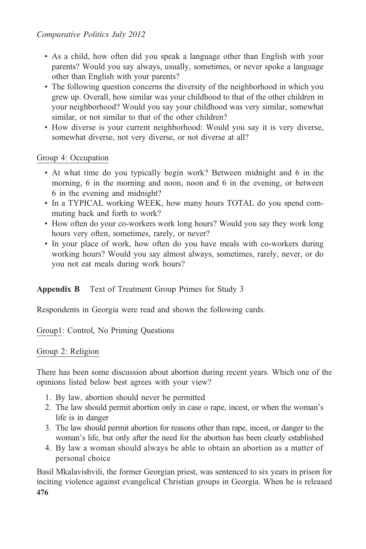- As a child, how often did you speak a language other than English with your parents? Would you say always, usually, sometimes, or never spoke a language other than English with your parents?
- The following question concerns the diversity of the neighborhood in which you grew up. Overall, how similar was your childhood to that of the other children in your neighborhood? Would you say your childhood was very similar, somewhat similar, or not similar to that of the other children?
- How diverse is your current neighborhood: Would you say it is very diverse, somewhat diverse, not very diverse, or not diverse at all?

# Group 4: Occupation

- At what time do you typically begin work? Between midnight and 6 in the morning, 6 in the morning and noon, noon and 6 in the evening, or between 6 in the evening and midnight?
- In a TYPICAL working WEEK, how many hours TOTAL do you spend commuting back and forth to work?
- How often do your co-workers work long hours? Would you say they work long hours very often, sometimes, rarely, or never?
- In your place of work, how often do you have meals with co-workers during working hours? Would you say almost always, sometimes, rarely, never, or do you not eat meals during work hours?

# Appendix B Text of Treatment Group Primes for Study 3

Respondents in Georgia were read and shown the following cards.

Group1: Control, No Priming Questions

# Group 2: Religion

There has been some discussion about abortion during recent years. Which one of the opinions listed below best agrees with your view?

- 1. By law, abortion should never be permitted
- 2. The law should permit abortion only in case o rape, incest, or when the woman's life is in danger
- 3. The law should permit abortion for reasons other than rape, incest, or danger to the woman's life, but only after the need for the abortion has been clearly established
- 4. By law a woman should always be able to obtain an abortion as a matter of personal choice

Basil Mkalavishvili, the former Georgian priest, was sentenced to six years in prison for inciting violence against evangelical Christian groups in Georgia. When he is released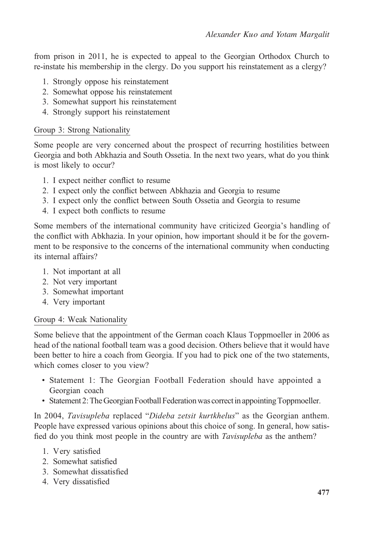from prison in 2011, he is expected to appeal to the Georgian Orthodox Church to re-instate his membership in the clergy. Do you support his reinstatement as a clergy?

- 1. Strongly oppose his reinstatement
- 2. Somewhat oppose his reinstatement
- 3. Somewhat support his reinstatement
- 4. Strongly support his reinstatement

## Group 3: Strong Nationality

Some people are very concerned about the prospect of recurring hostilities between Georgia and both Abkhazia and South Ossetia. In the next two years, what do you think is most likely to occur?

- 1. I expect neither conflict to resume
- 2. I expect only the conflict between Abkhazia and Georgia to resume
- 3. I expect only the conflict between South Ossetia and Georgia to resume
- 4. I expect both conflicts to resume

Some members of the international community have criticized Georgia's handling of the conflict with Abkhazia. In your opinion, how important should it be for the government to be responsive to the concerns of the international community when conducting its internal affairs?

- 1. Not important at all
- 2. Not very important
- 3. Somewhat important
- 4. Very important

## Group 4: Weak Nationality

Some believe that the appointment of the German coach Klaus Toppmoeller in 2006 as head of the national football team was a good decision. Others believe that it would have been better to hire a coach from Georgia. If you had to pick one of the two statements, which comes closer to you view?

- Statement 1: The Georgian Football Federation should have appointed a Georgian coach
- Statement 2: The Georgian Football Federation was correctin appointing Toppmoeller.

In 2004, Tavisupleba replaced "Dideba zetsit kurtkhelus" as the Georgian anthem. People have expressed various opinions about this choice of song. In general, how satisfied do you think most people in the country are with *Tavisupleba* as the anthem?

- 1. Very satisfied
- 2. Somewhat satisfied
- 3. Somewhat dissatisfied
- 4. Very dissatisfied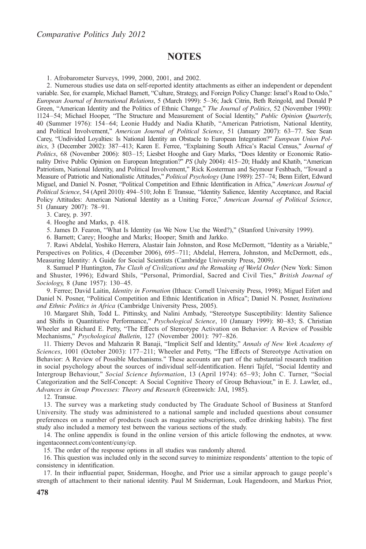# **NOTES**

1. Afrobarometer Surveys, 1999, 2000, 2001, and 2002.

2. Numerous studies use data on self-reported identity attachments as either an independent or dependent variable. See, for example, Michael Barnett, "Culture, Strategy, and Foreign Policy Change: Israel's Road to Oslo," European Journal of International Relations, 5 (March 1999): 5–36; Jack Citrin, Beth Reingold, and Donald P Green, "American Identity and the Politics of Ethnic Change," The Journal of Politics, 52 (November 1990): 1124–54; Michael Hooper, "The Structure and Measurement of Social Identity," Public Opinion Quarterly, 40 (Summer 1976): 154–64; Leonie Huddy and Nadia Khatib, "American Patriotism, National Identity, and Political Involvement," American Journal of Political Science, 51 (January 2007): 63–77. See Sean Carey, "Undivided Loyalties: Is National Identity an Obstacle to European Integration?" European Union Politics, 3 (December 2002): 387-413; Karen E. Ferree, "Explaining South Africa's Racial Census," Journal of Politics, 68 (November 2006): 803–15; Liesbet Hooghe and Gary Marks, "Does Identity or Economic Rationality Drive Public Opinion on European Integration?" PS (July 2004): 415–20; Huddy and Khatib, "American Patriotism, National Identity, and Political Involvement," Rick Kosterman and Seymour Feshbach, "Toward a Measure of Patriotic and Nationalistic Attitudes," Political Psychology (June 1989): 257–74; Benn Eifert, Edward Miguel, and Daniel N. Posner, "Political Competition and Ethnic Identification in Africa," American Journal of Political Science, 54 (April 2010): 494–510; John E Transue, "Identity Salience, Identity Acceptance, and Racial Policy Attitudes: American National Identity as a Uniting Force," American Journal of Political Science, 51 (January 2007): 78–91.

3. Carey, p. 397.

4. Hooghe and Marks, p. 418.

5. James D. Fearon, "What Is Identity (as We Now Use the Word?)," (Stanford University 1999).

6. Barnett; Carey; Hooghe and Marks; Hooper; Smith and Jarkko.

7. Rawi Abdelal, Yoshiko Herrera, Alastair Iain Johnston, and Rose McDermott, "Identity as a Variable," Perspectives on Politics, 4 (December 2006), 695–711; Abdelal, Herrera, Johnston, and McDermott, eds., Measuring Identity: A Guide for Social Scientists (Cambridge University Press, 2009).

8. Samuel P Huntington, The Clash of Civilizations and the Remaking of World Order (New York: Simon and Shuster, 1996); Edward Shils, "Personal, Primordial, Sacred and Civil Ties," British Journal of Sociology, 8 (June 1957): 130–45.

9. Ferree; David Laitin, *Identity in Formation* (Ithaca: Cornell University Press, 1998); Miguel Eifert and Daniel N. Posner, "Political Competition and Ethnic Identification in Africa"; Daniel N. Posner, Institutions and Ethnic Politics in Africa (Cambridge University Press, 2005).

10. Margaret Shih, Todd L. Pittinsky, and Nalini Ambady, "Stereotype Susceptibility: Identity Salience and Shifts in Quantitative Performance," Psychological Science, 10 (January 1999): 80-83; S. Christian Wheeler and Richard E. Petty, "The Effects of Stereotype Activation on Behavior: A Review of Possible Mechanisms," Psychological Bulletin, 127 (November 2001): 797–826.

11. Thierry Devos and Mahzarin R Banaji, "Implicit Self and Identity," Annals of New York Academy of Sciences, 1001 (October 2003): 177-211; Wheeler and Petty, "The Effects of Stereotype Activation on Behavior: A Review of Possible Mechanisms." These accounts are part of the substantial research tradition in social psychology about the sources of individual self-identification. Henri Tajfel, "Social Identity and Intergroup Behaviour," Social Science Information, 13 (April 1974): 65–93; John C. Turner, "Social Categorization and the Self-Concept: A Social Cognitive Theory of Group Behaviour," in E. J. Lawler, ed., Advances in Group Processes: Theory and Research (Greenwich: JAI, 1985).

12. Transue.

13. The survey was a marketing study conducted by The Graduate School of Business at Stanford University. The study was administered to a national sample and included questions about consumer preferences on a number of products (such as magazine subscriptions, coffee drinking habits). The first study also included a memory test between the various sections of the study.

14. The online appendix is found in the online version of this article following the endnotes, at www. ingentaconnect.com/content/cuny/cp.

15. The order of the response options in all studies was randomly altered.

16. This question was included only in the second survey to minimize respondents' attention to the topic of consistency in identification.

17. In their influential paper, Sniderman, Hooghe, and Prior use a similar approach to gauge people's strength of attachment to their national identity. Paul M Sniderman, Louk Hagendoorn, and Markus Prior,